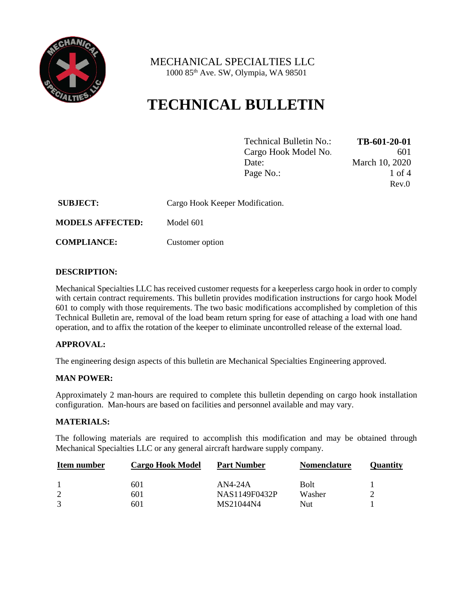

 MECHANICAL SPECIALTIES LLC 1000 85th Ave. SW, Olympia, WA 98501

# **TECHNICAL BULLETIN**

| Technical Bulletin No.: | TB-601-20-01   |
|-------------------------|----------------|
| Cargo Hook Model No.    | 601            |
| Date:                   | March 10, 2020 |
| Page No.:               | 1 of 4         |
|                         | Rev.0          |

| <b>SUBJECT:</b>         | Cargo Hook Keeper Modification. |
|-------------------------|---------------------------------|
| <b>MODELS AFFECTED:</b> | Model 601                       |

**COMPLIANCE:** Customer option

#### **DESCRIPTION:**

Mechanical Specialties LLC has received customer requests for a keeperless cargo hook in order to comply with certain contract requirements. This bulletin provides modification instructions for cargo hook Model 601 to comply with those requirements. The two basic modifications accomplished by completion of this Technical Bulletin are, removal of the load beam return spring for ease of attaching a load with one hand operation, and to affix the rotation of the keeper to eliminate uncontrolled release of the external load.

## **APPROVAL:**

The engineering design aspects of this bulletin are Mechanical Specialties Engineering approved.

#### **MAN POWER:**

Approximately 2 man-hours are required to complete this bulletin depending on cargo hook installation configuration. Man-hours are based on facilities and personnel available and may vary.

#### **MATERIALS:**

The following materials are required to accomplish this modification and may be obtained through Mechanical Specialties LLC or any general aircraft hardware supply company.

| Item number | <b>Cargo Hook Model</b> | <b>Part Number</b> | <b>Nomenclature</b> | Ouantitv |
|-------------|-------------------------|--------------------|---------------------|----------|
|             | 601                     | $AN4-24A$          | <b>Bolt</b>         |          |
| 2           | 601                     | NAS1149F0432P      | Washer              |          |
|             | 601                     | MS21044N4          | Nut                 |          |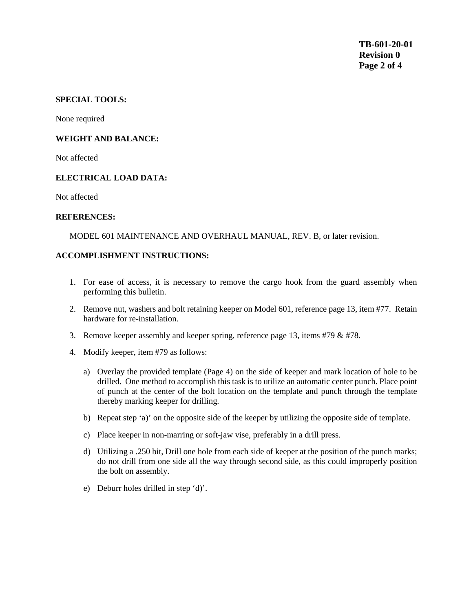### **SPECIAL TOOLS:**

None required

#### **WEIGHT AND BALANCE:**

Not affected

#### **ELECTRICAL LOAD DATA:**

Not affected

#### **REFERENCES:**

MODEL 601 MAINTENANCE AND OVERHAUL MANUAL, REV. B, or later revision.

#### **ACCOMPLISHMENT INSTRUCTIONS:**

- 1. For ease of access, it is necessary to remove the cargo hook from the guard assembly when performing this bulletin.
- 2. Remove nut, washers and bolt retaining keeper on Model 601, reference page 13, item #77. Retain hardware for re-installation.
- 3. Remove keeper assembly and keeper spring, reference page 13, items #79  $&$  #78.
- 4. Modify keeper, item #79 as follows:
	- a) Overlay the provided template (Page 4) on the side of keeper and mark location of hole to be drilled. One method to accomplish this task is to utilize an automatic center punch. Place point of punch at the center of the bolt location on the template and punch through the template thereby marking keeper for drilling.
	- b) Repeat step 'a)' on the opposite side of the keeper by utilizing the opposite side of template.
	- c) Place keeper in non-marring or soft-jaw vise, preferably in a drill press.
	- d) Utilizing a .250 bit, Drill one hole from each side of keeper at the position of the punch marks; do not drill from one side all the way through second side, as this could improperly position the bolt on assembly.
	- e) Deburr holes drilled in step 'd)'.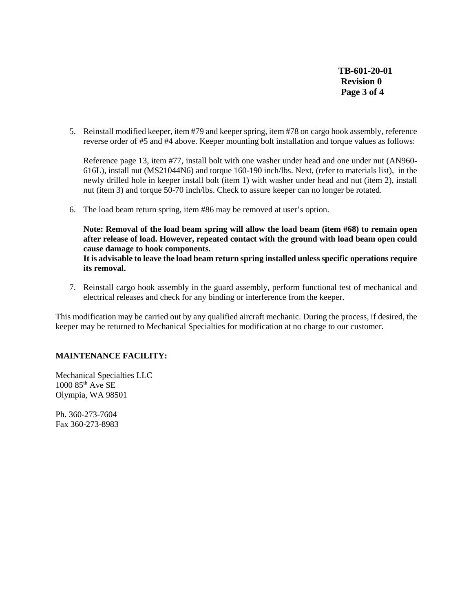**TB-601-20-01 Revision 0 Page 3 of 4**

5. Reinstall modified keeper, item #79 and keeper spring, item #78 on cargo hook assembly, reference reverse order of #5 and #4 above. Keeper mounting bolt installation and torque values as follows:

Reference page 13, item #77, install bolt with one washer under head and one under nut (AN960- 616L), install nut (MS21044N6) and torque 160-190 inch/lbs. Next, (refer to materials list), in the newly drilled hole in keeper install bolt (item 1) with washer under head and nut (item 2), install nut (item 3) and torque 50-70 inch/lbs. Check to assure keeper can no longer be rotated.

6. The load beam return spring, item #86 may be removed at user's option.

**Note: Removal of the load beam spring will allow the load beam (item #68) to remain open after release of load. However, repeated contact with the ground with load beam open could cause damage to hook components.** 

**It is advisable to leave the load beam return spring installed unless specific operations require its removal.**

7. Reinstall cargo hook assembly in the guard assembly, perform functional test of mechanical and electrical releases and check for any binding or interference from the keeper.

This modification may be carried out by any qualified aircraft mechanic. During the process, if desired, the keeper may be returned to Mechanical Specialties for modification at no charge to our customer.

## **MAINTENANCE FACILITY:**

Mechanical Specialties LLC  $1000$   $85<sup>th</sup>$  Ave SE Olympia, WA 98501

Ph. 360-273-7604 Fax 360-273-8983